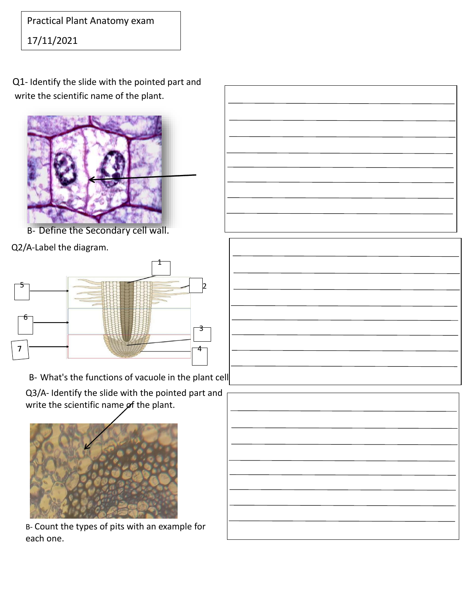Practical Plant Anatomy exam

17/11/2021

Q1- Identify the slide with the pointed part and write the scientific name of the plant.



B- Define the Secondary cell wall.

Q2/A-Label the diagram.



B- What's the functions of vacuole in the plant cell

Q3/A- Identify the slide with the pointed part and write the scientific name  $p$ f the plant.



B- Count the types of pits with an example for each one.



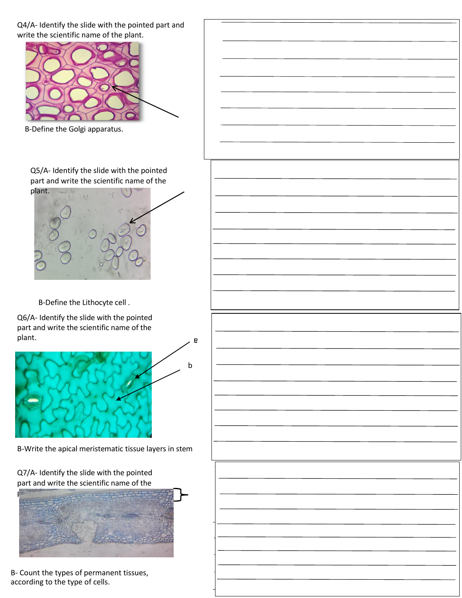Q4/A- Identify the slide with the pointed part and write the scientific name of the plant.



B-Define the Golgi apparatus.

Q5/A- Identify the slide with the pointed part and write the scientific name of the plant.



B-Define the Lithocyte cell .

Q6/A- Identify the slide with the pointed part and write the scientific name of the plant.



B-Write the apical meristematic tissue layers in stem

Q7/A- Identify the slide with the pointed part and write the scientific name of the



B- Count the types of permanent tissues, according to the type of cells.